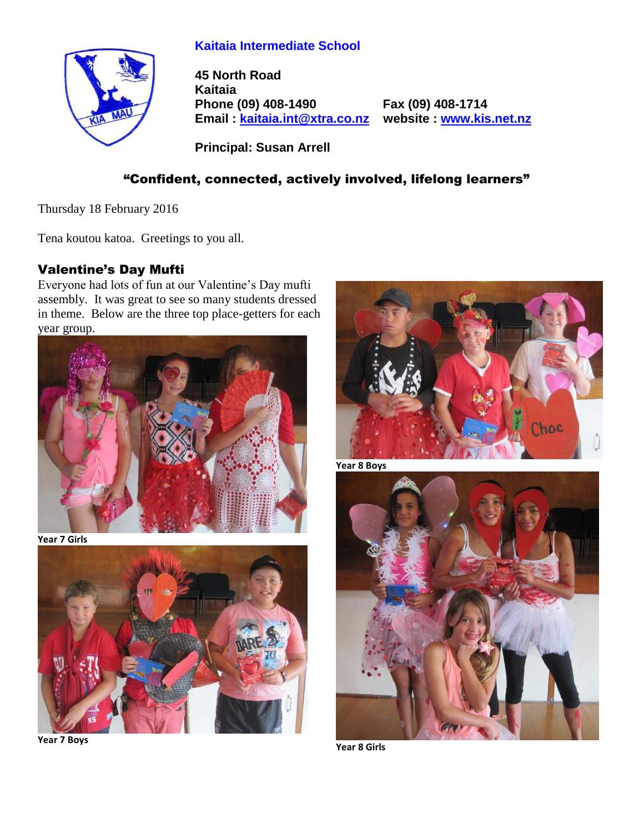# **Kaitaia Intermediate School**



**45 North Road Kaitaia Phone (09) 408-1490 Fax (09) 408-1714 Email : [kaitaia.int@xtra.co.nz](mailto:kaitaia.int@xtra.co.nz) website : [www.kis.net.nz](file:///C:/Documents%20and%20Settings/Principal/Desktop/Kelvin%201/Letterhead%20-%20Kelvin/www.kis.net.nz)**

**Principal: Susan Arrell**

# "Confident, connected, actively involved, lifelong learners"

Thursday 18 February 2016

Tena koutou katoa. Greetings to you all.

## Valentine's Day Mufti

Everyone had lots of fun at our Valentine's Day mufti assembly. It was great to see so many students dressed in theme. Below are the three top place-getters for each year group.



**Year 7 Girls**



**Year 7 Boys**



**Year 8 Boys**



**Year 8 Girls**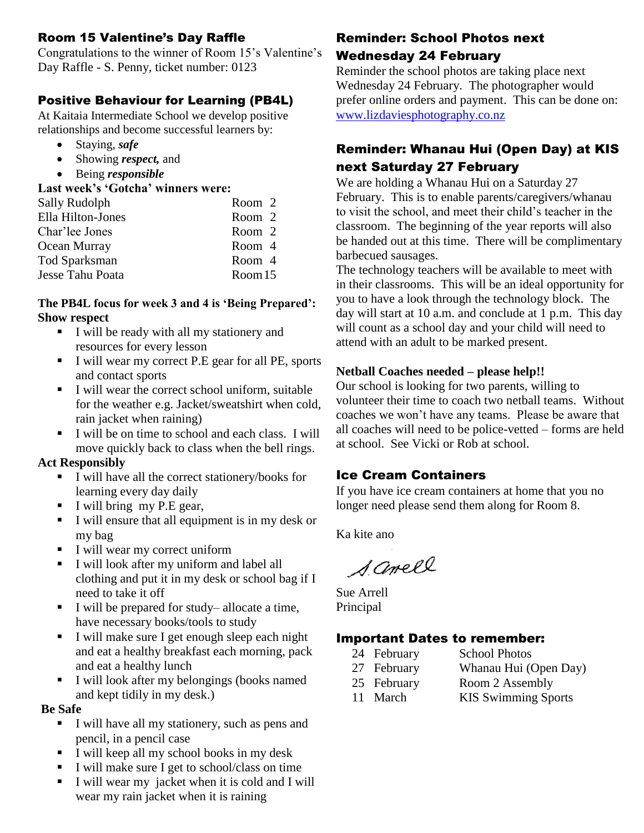## Room 15 Valentine's Day Raffle

Congratulations to the winner of Room 15's Valentine's Day Raffle - S. Penny, ticket number: 0123

## Positive Behaviour for Learning (PB4L)

At Kaitaia Intermediate School we develop positive relationships and become successful learners by:

- Staying, *safe*
- Showing *respect,* and
- Being *responsible*

#### **Last week's 'Gotcha' winners were:**

| Sally Rudolph     | Room 2 |
|-------------------|--------|
| Ella Hilton-Jones | Room 2 |
| Char'lee Jones    | Room 2 |
| Ocean Murray      | Room 4 |
| Tod Sparksman     | Room 4 |
| Jesse Tahu Poata  | Room15 |

#### **The PB4L focus for week 3 and 4 is 'Being Prepared': Show respect**

- I will be ready with all my stationery and resources for every lesson
- I will wear my correct P.E gear for all PE, sports and contact sports
- I will wear the correct school uniform, suitable for the weather e.g. Jacket/sweatshirt when cold, rain jacket when raining)
- I will be on time to school and each class. I will move quickly back to class when the bell rings.

#### **Act Responsibly**

- I will have all the correct stationery/books for learning every day daily
- $I$  will bring my P.E gear,
- I will ensure that all equipment is in my desk or my bag
- I will wear my correct uniform
- I will look after my uniform and label all clothing and put it in my desk or school bag if I need to take it off
- I will be prepared for study– allocate a time, have necessary books/tools to study
- I will make sure I get enough sleep each night and eat a healthy breakfast each morning, pack and eat a healthy lunch
- I will look after my belongings (books named and kept tidily in my desk.)

#### **Be Safe**

- I will have all my stationery, such as pens and pencil, in a pencil case
- I will keep all my school books in my desk
- I will make sure I get to school/class on time
- I will wear my jacket when it is cold and I will wear my rain jacket when it is raining

## Reminder: School Photos next Wednesday 24 February

Reminder the school photos are taking place next Wednesday 24 February. The photographer would prefer online orders and payment. This can be done on: [www.lizdaviesphotography.co.nz](http://www.lizdaviesphotography.co.nz/)

# Reminder: Whanau Hui (Open Day) at KIS next Saturday 27 February

We are holding a Whanau Hui on a Saturday 27 February. This is to enable parents/caregivers/whanau to visit the school, and meet their child's teacher in the classroom. The beginning of the year reports will also be handed out at this time. There will be complimentary barbecued sausages.

The technology teachers will be available to meet with in their classrooms. This will be an ideal opportunity for you to have a look through the technology block. The day will start at 10 a.m. and conclude at 1 p.m. This day will count as a school day and your child will need to attend with an adult to be marked present.

### **Netball Coaches needed – please help!!**

Our school is looking for two parents, willing to volunteer their time to coach two netball teams. Without coaches we won't have any teams. Please be aware that all coaches will need to be police-vetted – forms are held at school. See Vicki or Rob at school.

# Ice Cream Containers

If you have ice cream containers at home that you no longer need please send them along for Room 8.

Ka kite ano

Samell

Sue Arrell Principal

# Important Dates to remember:

- 24 February School Photos
	-
	-
- 27 February Whanau Hui (Open Day)
- 25 February Room 2 Assembly
- 
- 11 March KIS Swimming Sports